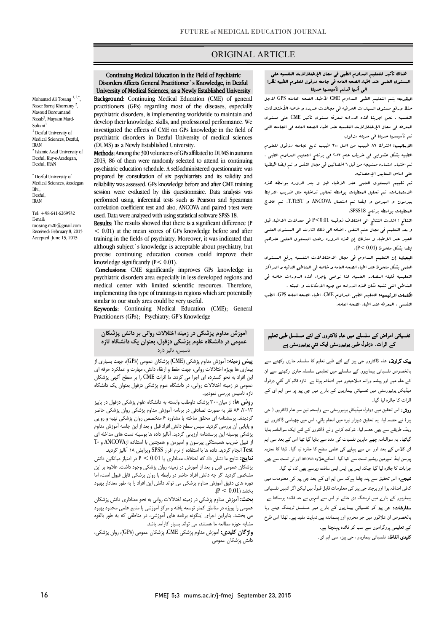# ORIGINAL ARTICLE

#### Disorders Affects General Practitioner`s Knowledge, in Dezful University of Medical Sciences, as a Newly Established University Continuing Medical Education in the Field of Psychiatric

Ī

Background: Continuing Medical Education (CME) of general psychiatric disorders, is implementing worldwide to maintain and develop their knowledge, skills, and professional performance. We psychiatric disorders in Dezful University of medical sciences practitioners (GPs) regarding most of the diseases, especially investigated the effects of CME on GPs knowledge in the field of (DUMS) as a Newly Established University.

 Methods: Among the 300 volunteers of GPs affiliated to DUMS in autumn psychiatric education schedule. A self-administered questionnaire was prepared by consultation of six psychiatrists and its validity and session were evaluated by this questionnaire. Data analysis was performed using, inferential tests such as Pearson and Spearman correlation coefficient test and also, ANCOVA and paired t-test were 2013, 86 of them were randomly selected to attend in continuing reliability was assessed. GPs knowledge before and after CME training used. Data were analyzed with using statistical software SPSS 18.

**Results:** The results showed that there is a significant difference (P < 0.01) at the mean scores of GPs knowledge before and after although subject`s knowledge is acceptable about psychiatry, but precise continuing education courses could improve their training in the fields of psychiatry. Moreover, it was indicated that knowledge significantly (P< 0.01).

mowledge significantly (P< 0.01).<br>**Conclusions:** CME significantly improves GPs knowledge in psychiatric disorders area especially in less developed regions and medical center with limited scientific resources. Therefore, implementing this type of trainings in regions which are potentially similar to our study area could be very useful.

Keywords: Continuing Medical Education (CME); General Practitioners (GPs); Psychiatry; GP's Knowledge

# آموزش مداوم پزشکی در زمینه اختلالات روانی بر دانش پزشکان عمومی در دانشگاه علوم پزشکی دزفول، بعنوان یک دانشگاه تازه تاسیس، تاثیر دارد

ب<br>**پیش زمینه:** آموزش مداوم پزشکی (CME) پزشکان عمومی (GPs)، جهت بسیاری از بیماري ها بویژه اختلالات روانی، جهت حفظ و ارتقاء دانش، مهارت و عملکرد حرفه اي عمومی در زمینه اختلالات روانی، در دانشگاه علوم پزشکی دزفول بعنوان یک دانشگاه این افراد به نحو گسترده اي اجرا می گردد. ما اثرات CME را بر سطح آگهی پزشکان تازه تاسیس بررسی نمودیم.

**روش ها:** از میان۳۰۰ پزشک داوطلب وابسته به دانشگاه علوم پزشکی دزفول در پاییز گردیدند. پرسشنامه اي محقق ساخته با مشاوره 6 متخصص روان پزشکی تهیه و روایی و پایایی آن بررسی گردید. سپس سطح دانش افراد قبل و بعد از این جلسه آموزش مداوم پزشکی بوسیله این پرسشنامه ارزیابی گردید. آنالیز داده ها بوسیله تست های مداخله ای<br>ستید است Test انجام گردید. داده ها با استفاده از نرم افرار SPSS ویرایش 18 آنالیز گردید. ،2013 86 نفر به صورت تصادفی در برنامه آموزش مداوم پزشکی روان پزشکی حاضر از قبیل ضریب همبستگی پیرسون و اسپرمن و همچنین با استفاده ازANCOVA و -T

 نتایج: نتایج ما نشان داد که اختلاف معناداري یا 0.01 > P در امتیاز میانگین دانش پزشکان عمومی قبل و بعد از آموزش در زمینه روان پزشکی وجود داشت. علاوه بر این دوره هاي دقیق آموزش مداوم پزشکی می تواند دانش این افراد را به طور معنادار بهبود مشخص گردید اگر چه دانش افراد حاضر در رابطه با روان پزشکی قابل قبول است، اما  $\frac{1}{2}$ بخشد (0.01 > P).

 بحث: آموزش مداوم پزشکی در زمینه اختلالات روانی به نحو معناداري دانش پزشکان می بخشد. بنابراین اجراي اینگونه برنامه هاي آموزشی، در مناطقی که به طور بالقوه مشابه حوزه مطالعه ما هستند، می تواند بسیار کارآمد باشد. عمومی را بویژه در مناطق کمتر توسعه یافته و مرکز آموزشی با منابع علمی محدود بهبود

 واژگان کلیدي: آموزش مداوم پزشکی CME، پزشکان عمومی (GPs(، روان پزشکی، دانش پزشکان عمومی

#### ֦ هناك تأثیر للتعلیم المداوم الطبی فی مجال الإختلالات النفسیه علی المستوي العلمی عند اطباء الصحه العامه فی جامعه دزفول للعلوم الطبیه نظرا الی أنها قدتم تأسیسها حدیثا

Ī

 المقدمه: یتم التعلیم الطبی المداوم CME لأطباء الصحه العامله GPS لاجل حفظ ورفع مستوى الىرارات الحرفیه فی مجالات عدیده و خاصه الأختلافات<br>م المعرفه فی مجال الإختلالات النفسیه عند اطباء الصحه العامه فی الجامعه التی تم تأسیسها حدیثا فی مدینه دزفول. النفسیه . نحن اجرینا هذه الدراسه لمعرفه مستوي تأثیر CME علی مستوي

 الاسالیب: اشترك 86 طبیب من اصل 300 طبیب تابع لجامعه دزفول للعلوم الطبیه بشکل عشوایی فی خریف عام 2013 فی برنامج التعلیم المداوم الطبی . تم اختبار استماره ممنهجه من قبل 6 اخصائین فی مجال النفس و تم ایضا ظبطها علی اساس المعاییر الإحصائیه.

 الاستمارات. تم تحلیل المعطیات بواسطه تحالیل تداخلیه مثل ضریب الترابط بیرسون و اسبرمن و ایضا تم استعمال ANCOVA و TEST.T. تم علاج المعطیات بواسطه برنامج 18SPSS. تم تقییم المستوي العلمی عند الاطباء قبل و بعد الدوره بواسطه هذه

 النتائج : اشارت النتائج الی اختلاف ذوقیمه 0.01>P فی معدلات الاطباء قبل و بعد التعلیم فی مجال علم النفس . اضافه الی ذلک اشارت الی المستوي العلمی الجید عند الاطباء و معذلک إن هذه الدوره رفعت المستوي العلمی عندهم ایضا بشکل ملحوظ (0.01 >P(.

- . . . .<br>ال**بحث:** إن التعلیم البداوم ف<sub>ی</sub> مجال الاختلالات النفسیه یرفع المستوى العلمی بشکل ملحوظ عند اطباء الصحه العامه و خاصه فی المناطق النائیه و المراکز التعلیمیه قلیله المصادر العلمیه. لذا نوصی بإجراء هذه الدورات خاصه فی المناطق التی تشبه مکان هذه الدراسه من جهه الامکانات و البیئه .

 الکلمات الرئیسیه: التعلیم الطبی المداوم CME، اطباء الصحه العامه GPS، الطب النفسی ، المعرفه عند اطباء الصحه العامه.

### م سرت سے سستے ہیں جم مسریں سے سے مسسس ہیں۔<br>کے اثرات۔ دزفول طبی یونیورسٹی ایک نئی یونیورسٹی ہے نفسیاتی امراض کے سلسلے میں عام ڈاکٹروں کے لئے مسلسل طبی تعلیم

**یپک گراونڈ:** عام ڈاکٹروں جی پیز کے لئے طبی تعلیم کا سلسلہ جاری رکھنے سے بالخصوص نفسیاتی بیماریوں کے سلسلے میں تعلیمی سلسلہ جاری رکھنے سے ان کے علم میں اور پیشہ ورانہ صلاحیتوں میں اضافہ ہوتا ہے۔ تازہ قائم کی گئي دزفول میڈیکل یونیورسٹی میں نفسیاتی بیماریوں کے بارے میں جی پیز پر سی ایم ای کے<br>. اثر ات کا حائزہ لیا گیا۔

برت – جسرسیں<br>**روش:** اس تحقیق میں دوفول میڈیکل یونیورسٹی سے وابستہ تین سو عام ڈاکٹروں ( جی ) ، دوار ہ ام ، اس ڈاوں ۔<br>رینڈم طریقے سے بھی حصہ لیا۔ شرکت کرنے والے ڈاکٹروں کے لئے ایک سوالنامہ بنایا ۖ گیاتھا۔ یہ سوالنامہ چھے ماہرین نفسیات کی مدد سے بنایا گیا تھا اس کے بعد سی ایم ای کلاس کے بعد اور اس سے پہلے کی علمی سطح کا جائزہ لیا گیا۔ ڈیٹا کا تجزیہ بیرسن اینڈ اسپرمین ریشیو ٹسٹ سے کیا گیا۔ اسکےعلاوہ anova اور ٹی ٹسٹ سے بھی جوابات کا جائزہ لیا گیا جبکہ ایس پی ایس ایس سافٹ ویرسے بھی کام لیا گیا۔

**نتیجے:** اس تحقیق سے پتہ چلتا ہےکہ سی ایم ای کے بعد جی پیز کی معلومات میں<br>۔ کافی اضافہ ہوا اور ہرچند جی پیز کی معلومات قابل قبول ہیں لیکن اگر انہیں نفسیاتی<br>۔ یینڈ رپوں سے بارے ہیں ریندے می باسے ہو میں سے منہیں ہے مند مند ہوتا ہے۔<br>**سفارشات:** جی پیز کو نفسیاتی بیماریوں کے بار<sub>ے</sub> میں مسلسل ٹریننگ دیتے رہا ص میں ہے۔<br>بالخصوص ان علاقوں میں جو محروم اور پسماندہ ہیں نہایت مفید ہے۔ لہذا اس طرح کے تعلیمی پروگراموں سے سب کو فائدہ پہنچتا ہے۔ بیماریوں کے بار<sub>ے</sub> میں ٹریننگ دی جائے تو اس سے انہیں بے حد فائدہ ہوسکتا ہے۔

**کلیدی الفاظ:** نفسیاتی بیماریاں، جی پیز، سی ایم ای۔

Mohamad Ali Tosang<sup>1, 2,\*</sup> Naser Sarraj Khorramy<sup>2</sup>, Masoud Boroumand Nasab<sup>2</sup>, Maysam Mard-Soltani<sup>1</sup> <sup>1</sup> Dezful University of Medical Sciences, Dezful, IRAN <sup>2</sup> Islamic Azad University of Dezful, Kuy-e-Azadegan, Dezful, IRAN

\* Dezful University of Medical Sciences, Azadegan  $B\vert v$ Dezful, IRAN

Tel: +98-641-6269532 E-mail: toosang.m20@gmail.com Received: February 8, 2015 Accepted: June 15, 2015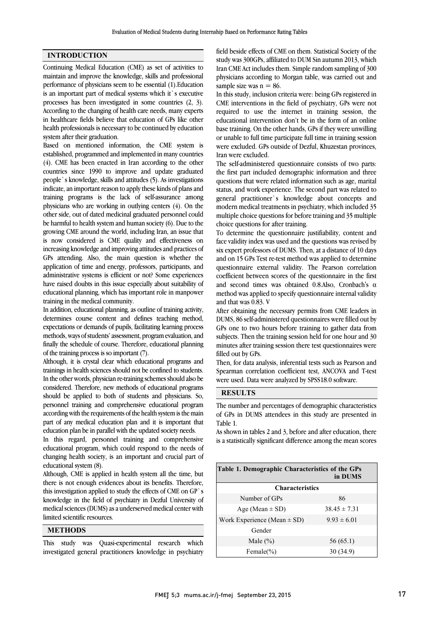## INTRODUCTION

Continuing Medical Education (CME) as set of activities to maintain and improve the knowledge, skills and professional performance of physicians seem to be essential (1).Education is an important part of medical systems which it`s executive processes has been investigated in some countries (2, 3). According to the changing of health care needs, many experts in healthcare fields believe that education of GPs like other health professionals is necessary to be continued by education system after their graduation.

Based on mentioned information, the CME system is established, programmed and implemented in many countries (4). CME has been enacted in Iran according to the other countries since 1990 to improve and update graduated people`s knowledge, skills and attitudes (5). As investigations indicate, an important reason to apply these kinds of plans and training programs is the lack of self-assurance among physicians who are working in outlying centers (4). On the other side, out of dated medicinal graduated personnel could be harmful to health system and human society (6). Due to the growing CME around the world, including Iran, an issue that is now considered is CME quality and effectiveness on increasing knowledge and improving attitudes and practices of GPs attending. Also, the main question is whether the application of time and energy, professors, participants, and administrative systems is efficient or not? Some experiences have raised doubts in this issue especially about suitability of educational planning, which has important role in manpower training in the medical community.

In addition, educational planning, as outline of training activity, determines course content and defines teaching method, expectations or demands of pupils, facilitating learning process methods, ways of students' assessment, program evaluation, and finally the schedule of course. Therefore, educational planning of the training process is so important (7).

Although, it is crystal clear which educational programs and trainings in health sciences should not be confined to students. In the other words, physician re-training schemes should also be considered. Therefore, new methods of educational programs should be applied to both of students and physicians. So, personnel training and comprehensive educational program according with the requirements of the health system is the main part of any medical education plan and it is important that education plan be in parallel with the updated society needs.

In this regard, personnel training and comprehensive educational program, which could respond to the needs of changing health society, is an important and crucial part of educational system (8).

Although, CME is applied in health system all the time, but there is not enough evidences about its benefits. Therefore, this investigation applied to study the effects of CME on GP`s knowledge in the field of psychiatry in Dezful University of medical sciences (DUMS) as a underserved medical center with limited scientific resources.

# **METHODS**

This study was Quasi-experimental research which investigated general practitioners knowledge in psychiatry

 field beside effects of CME on them. Statistical Society of the study was 300GPs, affiliated to DUM Sin autumn 2013, which Iran CME Act includes them. Simple random sampling of 300 physicians according to Morgan table, was carried out and sample size was  $n = 86$ .

In this study, inclusion criteria were: being GPs registered in CME interventions in the field of psychiatry, GPs were not required to use the internet in training session, the educational intervention don't be in the form of an online or unable to full time participate full time in training session were excluded. GPs outside of Dezful, Khuzestan provinces, Iran were excluded. base training. On the other hands, GPs if they were unwilling

 The self-administered questionnaire consists of two parts: questions that were related information such as age, marital status, and work experience. The second part was related to general practitioner`s knowledge about concepts and modern medical treatments in psychiatry, which included 35 choice questions for after training. the first part included demographic information and three multiple choice questions for before training and 35 multiple

 To determine the questionnaire justifiability, content and face validity index was used and the questions was revised by six expert professors of DUMS. Then, at a distance of 10 days questionnaire external validity. The Pearson correlation coefficient between scores of the questionnaire in the first and second times was obtained 0.8.Also, Cronbach's α method was applied to specify questionnaire internal validity and on 15 GPs Test re-test method was applied to determine and that was 0.83. V

After obtaining the necessary permits from CME leaders in DUMS, 86 self-administered questionnaires were filled out by GPs one to two hours before training to gather data from subjects. Then the training session held for one hour and 30 filled out by GPs. minutes after training session there test questionnaires were

 Then, for data analysis, inferential tests such as Pearson and Spearman correlation coefficient test, ANCOVA and T-test were used. Data were analyzed by SPSS18.0 software.

### RESULTS

 The number and percentages of demographic characteristics of GPs in DUMS attendees in this study are presented in Table 1.

 is a statistically significant difference among the mean scores As shown in tables 2 and 3, before and after education, there

| Table 1. Demographic Characteristics of the GPs<br>in DUMS |                  |  |  |  |  |  |
|------------------------------------------------------------|------------------|--|--|--|--|--|
| <b>Characteristics</b>                                     |                  |  |  |  |  |  |
| Number of GPs                                              | 86               |  |  |  |  |  |
| Age (Mean $\pm$ SD)                                        | $38.45 \pm 7.31$ |  |  |  |  |  |
| Work Experience (Mean $\pm$ SD)                            | $9.93 \pm 6.01$  |  |  |  |  |  |
| Gender                                                     |                  |  |  |  |  |  |
| Male $(\% )$                                               | 56 (65.1)        |  |  |  |  |  |
| Female $(\% )$                                             | 30 (34.9)        |  |  |  |  |  |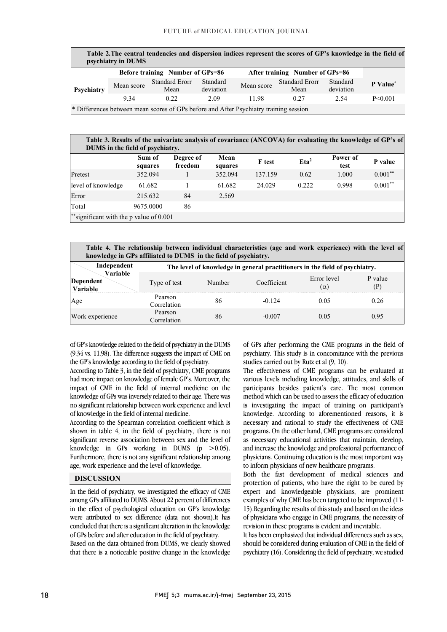| Table 2. The central tendencies and dispersion indices represent the scores of GP's knowledge in the field of<br>psychiatry in DUMS |                                         |                                                                                       |                       |                                 |                               |                       |                      |  |
|-------------------------------------------------------------------------------------------------------------------------------------|-----------------------------------------|---------------------------------------------------------------------------------------|-----------------------|---------------------------------|-------------------------------|-----------------------|----------------------|--|
|                                                                                                                                     | <b>Before training</b> Number of GPs=86 |                                                                                       |                       | After training Number of GPs=86 |                               |                       |                      |  |
| Psychiatry                                                                                                                          | Mean score                              | <b>Standard Erorr</b><br>Mean                                                         | Standard<br>deviation | Mean score                      | <b>Standard Erorr</b><br>Mean | Standard<br>deviation | P Value <sup>*</sup> |  |
|                                                                                                                                     | 9 3 4                                   | 0.22                                                                                  | 2.09                  | 1198                            | 0.27                          | 2.54                  | $P \le 0.001$        |  |
|                                                                                                                                     |                                         | * Differences between mean scores of GPs before and After Psychiatry training session |                       |                                 |                               |                       |                      |  |

| Table 3. Results of the univariate analysis of covariance (ANCOVA) for evaluating the knowledge of GP's of<br>DUMS in the field of psychiatry. |                   |                      |                 |               |                  |                  |            |  |
|------------------------------------------------------------------------------------------------------------------------------------------------|-------------------|----------------------|-----------------|---------------|------------------|------------------|------------|--|
|                                                                                                                                                | Sum of<br>squares | Degree of<br>freedom | Mean<br>squares | <b>F</b> test | Eta <sup>2</sup> | Power of<br>test | P value    |  |
| Pretest                                                                                                                                        | 352.094           |                      | 352.094         | 137.159       | 0.62             | 1.000            | $0.001**$  |  |
| level of knowledge                                                                                                                             | 61.682            |                      | 61.682          | 24.029        | 0.222            | 0.998            | $0.001***$ |  |
| Error                                                                                                                                          | 215.632           | 84                   | 2.569           |               |                  |                  |            |  |
| Total                                                                                                                                          | 9675.0000         | 86                   |                 |               |                  |                  |            |  |
| **significant with the p value of $0.001$                                                                                                      |                   |                      |                 |               |                  |                  |            |  |

| Table 4. The relationship between individual characteristics (age and work experience) with the level of<br>knowledge in GPs affiliated to DUMS in the field of psychiatry. |                        |        |             |                           |                |  |  |
|-----------------------------------------------------------------------------------------------------------------------------------------------------------------------------|------------------------|--------|-------------|---------------------------|----------------|--|--|
| Independent<br>The level of knowledge in general practitioners in the field of psychiatry.                                                                                  |                        |        |             |                           |                |  |  |
| Variable<br>Dependent<br>Variable                                                                                                                                           | Type of test           | Number | Coefficient | Error level<br>$(\alpha)$ | P value<br>(P) |  |  |
| Age                                                                                                                                                                         | Pearson<br>Correlation | 86     | $-0.124$    | 0.05                      | 0.26           |  |  |
| Work experience                                                                                                                                                             | Pearson<br>Correlation | 86     | -0.007      | 0.05                      | 0.95           |  |  |

 of GP's knowledge related to the field of psychiatry in the DUMS (9.34 vs. 11.98). The difference suggests the impact of CME on the GP's knowledge according to the field of psychiatry.

 According to Table 3, in the field of psychiatry, CME programs induction in the field of internal medicine on the impact of CME in the field of internal medicine on the knowledge of GPs was inversely related to their age. There was no significant relationship between work experience and level had more impact on knowledge of female GP's. Moreover, the of knowledge in the field of internal medicine.

shown in table 4, in the field of psychiatry, there is not significant reverse association between sex and the level of knowledge in GPs working in DUMS  $(p > 0.05)$ . Furthermore, there is not any significant relationship among age, work experience and the level of knowledge. According to the Spearman correlation coefficient which is

### DISCUSSION

 In the field of psychiatry, we investigated the efficacy of CME among GPs affiliated to DUMS. About 22 percent of differences were attributed to sex difference (data not shown).It has concluded that there is a significant alteration in the knowledge of GPs before and after education in the field of psychiatry. Based on the data obtained from DUMS, we clearly showed that there is a noticeable positive change in the knowledge in the effect of psychological education on GP's knowledge

 of GPs after performing the CME programs in the field of psychiatry. This study is in concomitance with the previous studies carried out by Rutz et al (9, 10).

 The effectiveness of CME programs can be evaluated at participants besides patient's care. The most common method which can be used to assess the efficacy of education is investigating the impact of training on participant's knowledge. According to aforementioned reasons, it is programs. On the other hand, CME programs are considered as necessary educational activities that maintain, develop, and increase the knowledge and professional performance of physicians. Continuing education is the most important way various levels including knowledge, attitudes, and skills of necessary and rational to study the effectiveness of CME to inform physicians of new healthcare programs.

 Both the fast development of medical sciences and protection of patients, who have the right to be cured by expert and knowledgeable physicians, are prominent examples of why CME has been targeted to be improved (11- of physicians who engage in CME programs, the necessity of revision in these programs is evident and inevitable. 15).Regarding the results of this study and based on the ideas

 It has been emphasized that individual differences such as sex, should be considered during evaluation of CME in the field of psychiatry (16). Considering the field of psychiatry, we studied

l